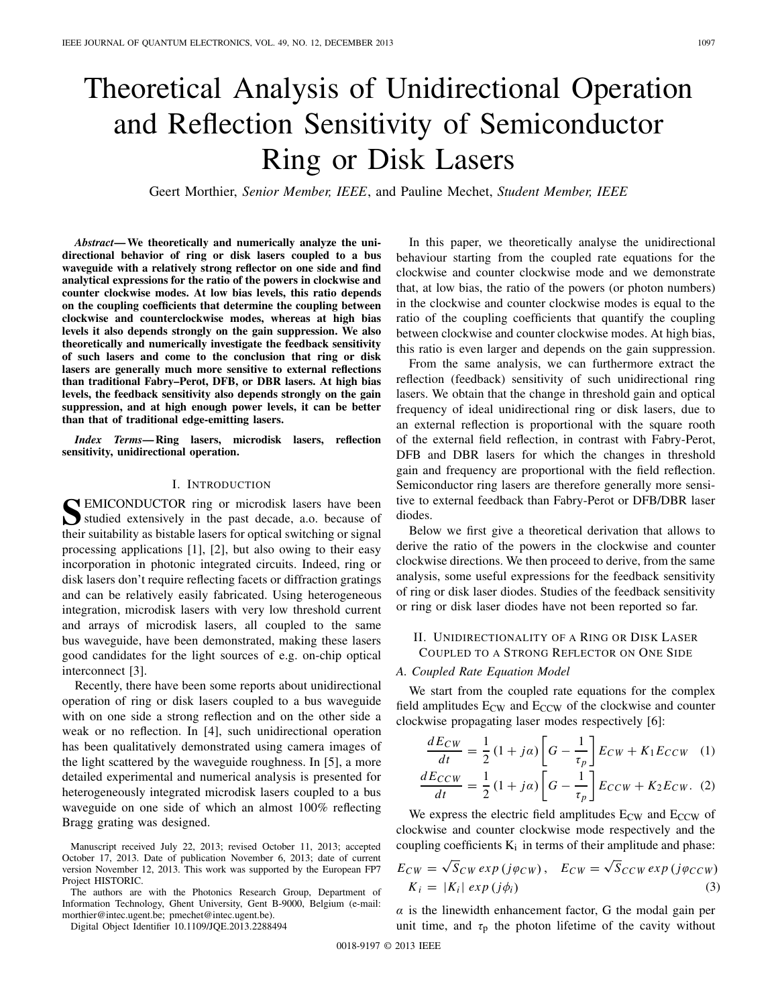# Theoretical Analysis of Unidirectional Operation and Reflection Sensitivity of Semiconductor Ring or Disk Lasers

Geert Morthier, *Senior Member, IEEE*, and Pauline Mechet, *Student Member, IEEE*

*Abstract***— We theoretically and numerically analyze the unidirectional behavior of ring or disk lasers coupled to a bus waveguide with a relatively strong reflector on one side and find analytical expressions for the ratio of the powers in clockwise and counter clockwise modes. At low bias levels, this ratio depends on the coupling coefficients that determine the coupling between clockwise and counterclockwise modes, whereas at high bias levels it also depends strongly on the gain suppression. We also theoretically and numerically investigate the feedback sensitivity of such lasers and come to the conclusion that ring or disk lasers are generally much more sensitive to external reflections than traditional Fabry–Perot, DFB, or DBR lasers. At high bias levels, the feedback sensitivity also depends strongly on the gain suppression, and at high enough power levels, it can be better than that of traditional edge-emitting lasers.**

*Index Terms***— Ring lasers, microdisk lasers, reflection sensitivity, unidirectional operation.**

#### I. INTRODUCTION

**S**EMICONDUCTOR ring or microdisk lasers have been studied extensively in the past decade, a.o. because of their suitability as bistable lasers for optical switching or signal processing applications [1], [2], but also owing to their easy incorporation in photonic integrated circuits. Indeed, ring or disk lasers don't require reflecting facets or diffraction gratings and can be relatively easily fabricated. Using heterogeneous integration, microdisk lasers with very low threshold current and arrays of microdisk lasers, all coupled to the same bus waveguide, have been demonstrated, making these lasers good candidates for the light sources of e.g. on-chip optical interconnect [3].

Recently, there have been some reports about unidirectional operation of ring or disk lasers coupled to a bus waveguide with on one side a strong reflection and on the other side a weak or no reflection. In [4], such unidirectional operation has been qualitatively demonstrated using camera images of the light scattered by the waveguide roughness. In [5], a more detailed experimental and numerical analysis is presented for heterogeneously integrated microdisk lasers coupled to a bus waveguide on one side of which an almost 100% reflecting Bragg grating was designed.

The authors are with the Photonics Research Group, Department of Information Technology, Ghent University, Gent B-9000, Belgium (e-mail: morthier@intec.ugent.be; pmechet@intec.ugent.be).

Digital Object Identifier 10.1109/JQE.2013.2288494

In this paper, we theoretically analyse the unidirectional behaviour starting from the coupled rate equations for the clockwise and counter clockwise mode and we demonstrate that, at low bias, the ratio of the powers (or photon numbers) in the clockwise and counter clockwise modes is equal to the ratio of the coupling coefficients that quantify the coupling between clockwise and counter clockwise modes. At high bias, this ratio is even larger and depends on the gain suppression.

From the same analysis, we can furthermore extract the reflection (feedback) sensitivity of such unidirectional ring lasers. We obtain that the change in threshold gain and optical frequency of ideal unidirectional ring or disk lasers, due to an external reflection is proportional with the square rooth of the external field reflection, in contrast with Fabry-Perot, DFB and DBR lasers for which the changes in threshold gain and frequency are proportional with the field reflection. Semiconductor ring lasers are therefore generally more sensitive to external feedback than Fabry-Perot or DFB/DBR laser diodes.

Below we first give a theoretical derivation that allows to derive the ratio of the powers in the clockwise and counter clockwise directions. We then proceed to derive, from the same analysis, some useful expressions for the feedback sensitivity of ring or disk laser diodes. Studies of the feedback sensitivity or ring or disk laser diodes have not been reported so far.

## II. UNIDIRECTIONALITY OF A RING OR DISK LASER COUPLED TO A STRONG REFLECTOR ON ONE SIDE

## *A. Coupled Rate Equation Model*

We start from the coupled rate equations for the complex field amplitudes  $E_{CW}$  and  $E_{CCW}$  of the clockwise and counter clockwise propagating laser modes respectively [6]:

$$
\frac{dE_{CW}}{dt} = \frac{1}{2} \left( 1 + j\alpha \right) \left[ G - \frac{1}{\tau_p} \right] E_{CW} + K_1 E_{CCW} \quad (1)
$$

$$
dE_{CCW} = \frac{1}{2} \left( 1 + j\alpha \right) \left[ G - \frac{1}{\tau_p} \right] E_{CW} + K_1 E_{CCW} \quad (2)
$$

$$
\frac{dE_{CCW}}{dt} = \frac{1}{2}(1+j\alpha)\left[G - \frac{1}{\tau_p}\right]E_{CCW} + K_2E_{CW}.
$$
 (2)

We express the electric field amplitudes  $E_{CW}$  and  $E_{CCW}$  of clockwise and counter clockwise mode respectively and the coupling coefficients  $K_i$  in terms of their amplitude and phase:

$$
E_{CW} = \sqrt{S}_{CW} \exp(j\varphi_{CW}), \quad E_{CW} = \sqrt{S}_{CCW} \exp(j\varphi_{CCW})
$$
  

$$
K_i = |K_i| \exp(j\phi_i)
$$
 (3)

 $\alpha$  is the linewidth enhancement factor, G the modal gain per unit time, and  $\tau_p$  the photon lifetime of the cavity without

Manuscript received July 22, 2013; revised October 11, 2013; accepted October 17, 2013. Date of publication November 6, 2013; date of current version November 12, 2013. This work was supported by the European FP7 Project HISTORIC.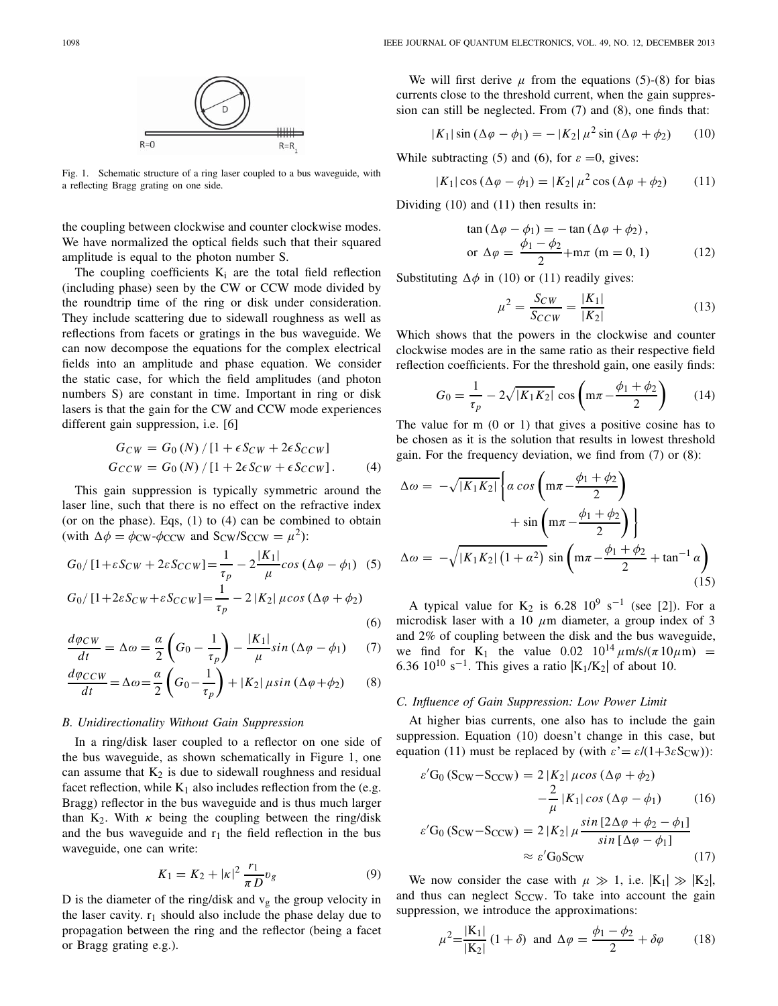

Fig. 1. Schematic structure of a ring laser coupled to a bus waveguide, with a reflecting Bragg grating on one side.

the coupling between clockwise and counter clockwise modes. We have normalized the optical fields such that their squared amplitude is equal to the photon number S.

The coupling coefficients  $K_i$  are the total field reflection (including phase) seen by the CW or CCW mode divided by the roundtrip time of the ring or disk under consideration. They include scattering due to sidewall roughness as well as reflections from facets or gratings in the bus waveguide. We can now decompose the equations for the complex electrical fields into an amplitude and phase equation. We consider the static case, for which the field amplitudes (and photon numbers S) are constant in time. Important in ring or disk lasers is that the gain for the CW and CCW mode experiences different gain suppression, i.e. [6]

$$
G_{CW} = G_0 (N) / [1 + \epsilon S_{CW} + 2\epsilon S_{CCW}]
$$
  
\n
$$
G_{CCW} = G_0 (N) / [1 + 2\epsilon S_{CW} + \epsilon S_{CCW}].
$$
 (4)

This gain suppression is typically symmetric around the laser line, such that there is no effect on the refractive index (or on the phase). Eqs, (1) to (4) can be combined to obtain (with  $\Delta \phi = \phi_{\text{CW}} \cdot \phi_{\text{CCW}}$  and  $S_{\text{CW}}/S_{\text{CCW}} = \mu^2$ ):

$$
G_0/[1+\varepsilon S_{CW}+2\varepsilon S_{CCW}]=\frac{1}{\tau_p}-2\frac{|K_1|}{\mu}cos(\Delta\varphi-\phi_1)
$$
 (5)

$$
G_0/[1+2\varepsilon S_{CW}+\varepsilon S_{CCW}]=\frac{1}{\tau_p}-2|K_2|\,\mu\cos\left(\Delta\varphi+\phi_2\right)
$$
\n<sup>(6)</sup>

$$
\frac{d\varphi_{CW}}{dt} = \Delta\omega = \frac{\alpha}{2} \left( G_0 - \frac{1}{\tau_p} \right) - \frac{|K_1|}{\mu} \sin(\Delta\varphi - \phi_1) \tag{7}
$$

$$
\frac{d\varphi_{CCW}}{dt} = \Delta\omega = \frac{\alpha}{2}\left(G_0 - \frac{1}{\tau_p}\right) + |K_2| \mu \sin(\Delta\varphi + \phi_2)
$$
(8)

#### *B. Unidirectionality Without Gain Suppression*

In a ring/disk laser coupled to a reflector on one side of the bus waveguide, as shown schematically in Figure 1, one can assume that  $K_2$  is due to sidewall roughness and residual facet reflection, while  $K_1$  also includes reflection from the (e.g. Bragg) reflector in the bus waveguide and is thus much larger than K<sub>2</sub>. With  $\kappa$  being the coupling between the ring/disk and the bus waveguide and  $r_1$  the field reflection in the bus waveguide, one can write:

$$
K_1 = K_2 + |\kappa|^2 \frac{r_1}{\pi D} v_g \tag{9}
$$

D is the diameter of the ring/disk and  $v<sub>g</sub>$  the group velocity in the laser cavity.  $r_1$  should also include the phase delay due to propagation between the ring and the reflector (being a facet or Bragg grating e.g.).

We will first derive  $\mu$  from the equations (5)-(8) for bias currents close to the threshold current, when the gain suppression can still be neglected. From (7) and (8), one finds that:

$$
|K_1| \sin (\Delta \varphi - \phi_1) = - |K_2| \mu^2 \sin (\Delta \varphi + \phi_2)
$$
 (10)

While subtracting (5) and (6), for  $\varepsilon = 0$ , gives:

$$
|K_1|\cos\left(\Delta\varphi-\phi_1\right)=|K_2|\,\mu^2\cos\left(\Delta\varphi+\phi_2\right)\qquad(11)
$$

Dividing (10) and (11) then results in:

$$
\tan (\Delta \varphi - \phi_1) = -\tan (\Delta \varphi + \phi_2),
$$
  
or 
$$
\Delta \varphi = \frac{\phi_1 - \phi_2}{2} + m\pi \text{ (m = 0, 1)}
$$
(12)

Substituting  $\Delta \phi$  in (10) or (11) readily gives:

$$
\mu^2 = \frac{S_{CW}}{S_{CCW}} = \frac{|K_1|}{|K_2|} \tag{13}
$$

Which shows that the powers in the clockwise and counter clockwise modes are in the same ratio as their respective field reflection coefficients. For the threshold gain, one easily finds:

$$
G_0 = \frac{1}{\tau_p} - 2\sqrt{|K_1K_2|} \cos\left(\frac{m\pi - \frac{\phi_1 + \phi_2}{2}}{2}\right) \qquad (14)
$$

The value for m (0 or 1) that gives a positive cosine has to be chosen as it is the solution that results in lowest threshold gain. For the frequency deviation, we find from (7) or (8):

$$
\Delta \omega = -\sqrt{|K_1 K_2|} \left\{ \alpha \cos \left( m\pi - \frac{\phi_1 + \phi_2}{2} \right) + \sin \left( m\pi - \frac{\phi_1 + \phi_2}{2} \right) \right\}
$$

$$
+ \omega = -\sqrt{|K_1 K_2| \left( 1 + \alpha^2 \right)} \sin \left( m\pi - \frac{\phi_1 + \phi_2}{2} + \tan^{-1} \alpha \right) \tag{15}
$$

A typical value for K<sub>2</sub> is 6.28 10<sup>9</sup> s<sup>-1</sup> (see [2]). For a microdisk laser with a 10  $\mu$ m diameter, a group index of 3 and 2% of coupling between the disk and the bus waveguide, we find for K<sub>1</sub> the value  $0.02 \frac{10^{14} \mu \text{m/s}}{(\pi 10 \mu \text{m})}$  = 6.36 10<sup>10</sup> s<sup>-1</sup>. This gives a ratio  $|K_1/K_2|$  of about 10.

### *C. Influence of Gain Suppression: Low Power Limit*

At higher bias currents, one also has to include the gain suppression. Equation (10) doesn't change in this case, but equation (11) must be replaced by (with  $\varepsilon' = \varepsilon/(1+3\varepsilon S_{CW})$ ):

$$
\varepsilon' G_0 (S_{CW} - S_{CCW}) = 2 |K_2| \mu \cos (\Delta \varphi + \phi_2)
$$
  

$$
- \frac{2}{\mu} |K_1| \cos (\Delta \varphi - \phi_1)
$$
(16)  

$$
\varepsilon' G_0 (S_{CW} - S_{CCW}) = 2 |K_2| \mu \frac{\sin [2\Delta \varphi + \phi_2 - \phi_1]}{\sin [\Delta \varphi - \phi_1]}
$$
  

$$
\approx \varepsilon' G_0 S_{CW}
$$
(17)

We now consider the case with  $\mu \gg 1$ , i.e.  $|K_1| \gg |K_2|$ , and thus can neglect  $S_{CCW}$ . To take into account the gain suppression, we introduce the approximations:

$$
\mu^2 = \frac{|\mathbf{K}_1|}{|\mathbf{K}_2|} (1+\delta) \text{ and } \Delta \varphi = \frac{\phi_1 - \phi_2}{2} + \delta \varphi \tag{18}
$$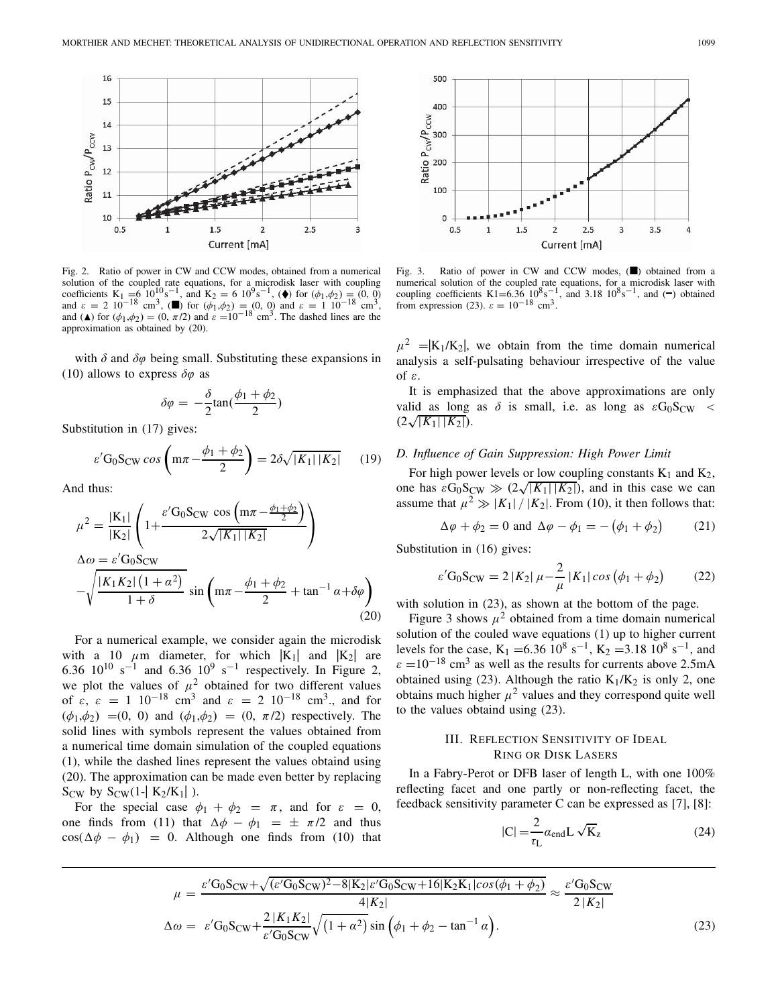

Fig. 2. Ratio of power in CW and CCW modes, obtained from a numerical solution of the coupled rate equations, for a microdisk laser with coupling coefficients K<sub>1</sub> =6 10<sup>10</sup>s<sup>-1</sup>, and K<sub>2</sub> = 6 10<sup>9</sup>s<sup>-1</sup>, ( $\blacklozenge$ ) for  $(\phi_1, \phi_2) = (0, 0)$ <br>and  $\varepsilon = 2$  10<sup>-18</sup> cm<sup>3</sup>, ( $\blacksquare$ ) for  $(\phi_1, \phi_2) = (0, 0)$  and  $\varepsilon = 1$  10<sup>-18</sup> cm<sup>3</sup>, and ( $\triangle$ ) for  $(\phi_1, \phi_2) = (0, \pi/2)$  and  $\varepsilon = 10^{-18}$  cm<sup>3</sup>. The dashed lines are the approximation as obtained by (20).

with  $\delta$  and  $\delta\varphi$  being small. Substituting these expansions in (10) allows to express  $\delta\varphi$  as

$$
\delta \varphi = -\frac{\delta}{2} \tan(\frac{\phi_1 + \phi_2}{2})
$$

Substitution in (17) gives:

$$
\varepsilon' G_0 S_{\rm CW} \cos \left( m\pi - \frac{\phi_1 + \phi_2}{2} \right) = 2\delta \sqrt{|K_1| |K_2|} \qquad (19)
$$

And thus:

$$
\mu^{2} = \frac{|K_{1}|}{|K_{2}|} \left( 1 + \frac{\varepsilon' G_{0} S_{CW} \cos \left( m\pi - \frac{\phi_{1} + \phi_{2}}{2} \right)}{2\sqrt{|K_{1}| |K_{2}|}} \right)
$$
  
\n
$$
\Delta \omega = \varepsilon' G_{0} S_{CW}
$$
  
\n
$$
-\sqrt{\frac{|K_{1} K_{2}| (1 + \alpha^{2})}{1 + \delta}} \sin \left( m\pi - \frac{\phi_{1} + \phi_{2}}{2} + \tan^{-1} \alpha + \delta \varphi \right)
$$
  
\n(20)

For a numerical example, we consider again the microdisk with a 10  $\mu$ m diameter, for which  $|K_1|$  and  $|K_2|$  are 6.36  $10^{10}$  s<sup>-1</sup> and 6.36  $10^{9}$  s<sup>-1</sup> respectively. In Figure 2, we plot the values of  $\mu^2$  obtained for two different values of  $\varepsilon$ ,  $\varepsilon = 1 \cdot 10^{-18} \text{ cm}^3$  and  $\varepsilon = 2 \cdot 10^{-18} \text{ cm}^3$ , and for  $(\phi_1, \phi_2) = (0, 0)$  and  $(\phi_1, \phi_2) = (0, \pi/2)$  respectively. The solid lines with symbols represent the values obtained from a numerical time domain simulation of the coupled equations (1), while the dashed lines represent the values obtaind using (20). The approximation can be made even better by replacing  $S_{\text{CW}}$  by  $S_{\text{CW}}(1-|K_2/K_1|)$ .

For the special case  $\phi_1 + \phi_2 = \pi$ , and for  $\varepsilon = 0$ , one finds from (11) that  $\Delta \phi - \phi_1 = \pm \pi/2$  and thus  $\cos(\Delta \phi - \phi_1) = 0$ . Although one finds from (10) that



Fig. 3. Ratio of power in CW and CCW modes,  $(\blacksquare)$  obtained from a numerical solution of the coupled rate equations, for a microdisk laser with coupling coefficients K1=6.36  $10^8 s^{-1}$ , and 3.18  $10^8 s^{-1}$ , and (−) obtained from expression (23).  $\varepsilon = 10^{-18}$  cm<sup>3</sup>.

 $\mu^2$  =  $|K_1/K_2|$ , we obtain from the time domain numerical analysis a self-pulsating behaviour irrespective of the value of ε.

It is emphasized that the above approximations are only valid as long as  $\delta$  is small, i.e. as long as  $\varepsilon G_0 S_{CW}$  <  $(2\sqrt{|K_1| |K_2|}).$ 

## *D. Influence of Gain Suppression: High Power Limit*

For high power levels or low coupling constants  $K_1$  and  $K_2$ , one has  $\varepsilon G_0 S_{\text{CW}} \gg (2\sqrt{|K_1||K_2|})$ , and in this case we can assume that  $\mu^2 \gg |K_1| / |K_2|$ . From (10), it then follows that:

$$
\Delta \varphi + \phi_2 = 0 \text{ and } \Delta \varphi - \phi_1 = -(\phi_1 + \phi_2) \tag{21}
$$

Substitution in (16) gives:

$$
\varepsilon' G_0 S_{\text{CW}} = 2 |K_2| \mu - \frac{2}{\mu} |K_1| \cos \left(\phi_1 + \phi_2\right) \tag{22}
$$

with solution in (23), as shown at the bottom of the page.

Figure 3 shows  $\mu^2$  obtained from a time domain numerical solution of the couled wave equations (1) up to higher current levels for the case, K<sub>1</sub> =6.36 10<sup>8</sup> s<sup>-1</sup>, K<sub>2</sub> =3.18 10<sup>8</sup> s<sup>-1</sup>, and  $\varepsilon = 10^{-18}$  cm<sup>3</sup> as well as the results for currents above 2.5mA obtained using (23). Although the ratio  $K_1/K_2$  is only 2, one obtains much higher  $\mu^2$  values and they correspond quite well to the values obtaind using (23).

## III. REFLECTION SENSITIVITY OF IDEAL RING OR DISK LASERS

In a Fabry-Perot or DFB laser of length L, with one 100% reflecting facet and one partly or non-reflecting facet, the feedback sensitivity parameter C can be expressed as [7], [8]:

$$
|C| = \frac{2}{\tau_L} \alpha_{\text{end}} L \sqrt{K_z}
$$
 (24)

$$
\mu = \frac{\varepsilon' G_0 S_{CW} + \sqrt{(\varepsilon' G_0 S_{CW})^2 - 8|K_2|\varepsilon' G_0 S_{CW} + 16|K_2 K_1|\cos(\phi_1 + \phi_2)}}{4|K_2|} \approx \frac{\varepsilon' G_0 S_{CW}}{2|K_2|}
$$
  
\n
$$
\Delta \omega = \varepsilon' G_0 S_{CW} + \frac{2|K_1 K_2|}{\varepsilon' G_0 S_{CW}} \sqrt{(1 + \alpha^2)} \sin(\phi_1 + \phi_2 - \tan^{-1} \alpha).
$$
\n(23)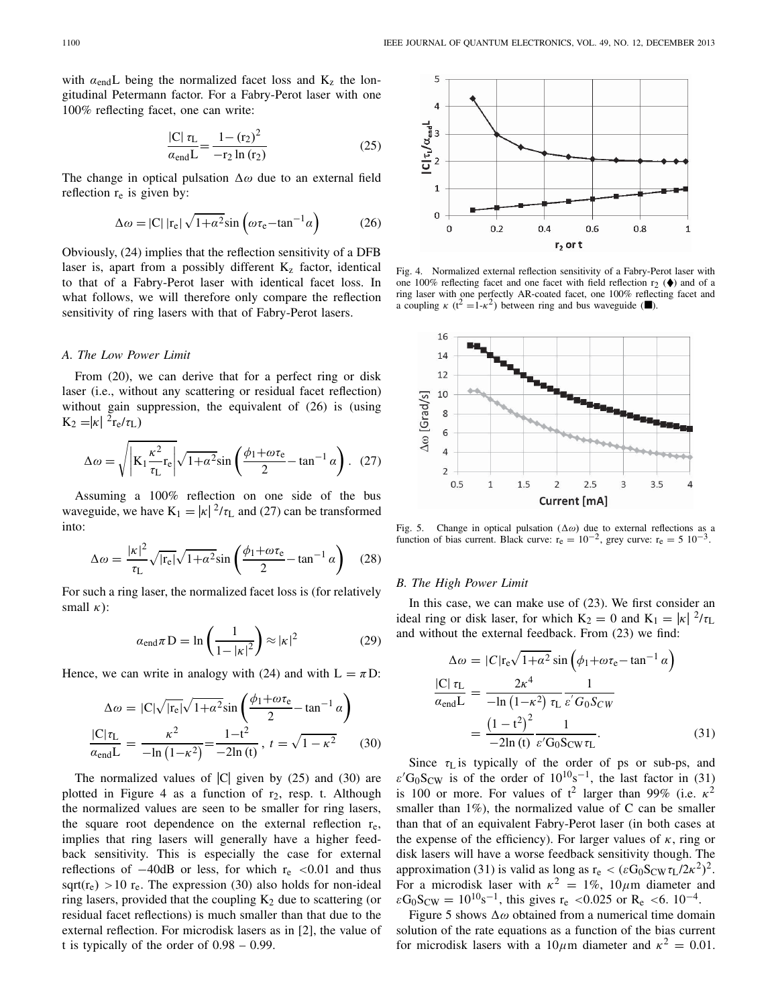with  $\alpha_{\text{end}} L$  being the normalized facet loss and  $K_z$  the longitudinal Petermann factor. For a Fabry-Perot laser with one 100% reflecting facet, one can write:

$$
\frac{|C| \tau_L}{\alpha_{\text{end}} L} = \frac{1 - (r_2)^2}{-r_2 \ln(r_2)}\tag{25}
$$

The change in optical pulsation  $\Delta\omega$  due to an external field reflection  $r_e$  is given by:

$$
\Delta \omega = |C| \left| r_e \right| \sqrt{1 + \alpha^2} \sin \left( \omega r_e - \tan^{-1} \alpha \right) \tag{26}
$$

Obviously, (24) implies that the reflection sensitivity of a DFB laser is, apart from a possibly different  $K<sub>z</sub>$  factor, identical to that of a Fabry-Perot laser with identical facet loss. In what follows, we will therefore only compare the reflection sensitivity of ring lasers with that of Fabry-Perot lasers.

## *A. The Low Power Limit*

From (20), we can derive that for a perfect ring or disk laser (i.e., without any scattering or residual facet reflection) without gain suppression, the equivalent of (26) is (using  $K_2 = |\kappa|^{2} r_e / \tau_L$ 

$$
\Delta \omega = \sqrt{\left| K_1 \frac{\kappa^2}{\tau_L} r_e \right|} \sqrt{1 + \alpha^2} \sin \left( \frac{\phi_1 + \omega \tau_e}{2} - \tan^{-1} \alpha \right). \tag{27}
$$

Assuming a 100% reflection on one side of the bus waveguide, we have  $K_1 = |\kappa|^2 / \tau_L$  and (27) can be transformed into:

$$
\Delta \omega = \frac{|\kappa|^2}{\tau_L} \sqrt{|\mathbf{r}_e|} \sqrt{1 + \alpha^2} \sin\left(\frac{\phi_1 + \omega \tau_e}{2} - \tan^{-1} \alpha\right) \quad (28)
$$

For such a ring laser, the normalized facet loss is (for relatively small  $\kappa$ ):

$$
\alpha_{\text{end}}\pi \mathbf{D} = \ln\left(\frac{1}{1-|\kappa|^2}\right) \approx |\kappa|^2 \tag{29}
$$

Hence, we can write in analogy with (24) and with  $L = \pi D$ :

$$
\Delta \omega = |C|\sqrt{|r_e|}\sqrt{1+\alpha^2}\sin\left(\frac{\phi_1+\omega r_e}{2} - \tan^{-1}\alpha\right)
$$

$$
\frac{|C|\tau_L}{\alpha_{\text{end}}L} = \frac{\kappa^2}{-\ln(1-\kappa^2)} = \frac{1-t^2}{-2\ln(t)}, \ t = \sqrt{1-\kappa^2} \qquad (30)
$$

The normalized values of  $|C|$  given by (25) and (30) are plotted in Figure 4 as a function of  $r_2$ , resp. t. Although the normalized values are seen to be smaller for ring lasers, the square root dependence on the external reflection  $r_e$ , implies that ring lasers will generally have a higher feedback sensitivity. This is especially the case for external reflections of  $-40$ dB or less, for which r<sub>e</sub> <0.01 and thus sqrt( $r_e$ ) > 10  $r_e$ . The expression (30) also holds for non-ideal ring lasers, provided that the coupling  $K_2$  due to scattering (or residual facet reflections) is much smaller than that due to the external reflection. For microdisk lasers as in [2], the value of t is typically of the order of 0.98 – 0.99.



Fig. 4. Normalized external reflection sensitivity of a Fabry-Perot laser with one 100% reflecting facet and one facet with field reflection  $r_2$  ( $\blacklozenge$ ) and of a ring laser with one perfectly AR-coated facet, one 100% reflecting facet and a coupling  $\kappa$  (t<sup>2</sup> =1- $\kappa$ <sup>2</sup>) between ring and bus waveguide ( $\blacksquare$ ).



Fig. 5. Change in optical pulsation  $(\Delta \omega)$  due to external reflections as a function of bias current. Black curve:  $r_e = 10^{-2}$ , grey curve:  $r_e = 5 \times 10^{-3}$ .

#### *B. The High Power Limit*

In this case, we can make use of (23). We first consider an ideal ring or disk laser, for which  $K_2 = 0$  and  $K_1 = |\kappa|^{2}/\tau_L$ and without the external feedback. From (23) we find:

$$
\Delta \omega = |C| \mathbf{r}_e \sqrt{1 + \alpha^2} \sin \left( \phi_1 + \omega \mathbf{r}_e - \tan^{-1} \alpha \right)
$$
  
\n
$$
\frac{|C| \mathbf{r}_L}{\alpha_{end}L} = \frac{2\kappa^4}{-\ln(1 - \kappa^2) \mathbf{r}_L} \frac{1}{\varepsilon' G_0 S_{CW}}
$$
  
\n
$$
= \frac{\left(1 - t^2\right)^2}{-2\ln(t)} \frac{1}{\varepsilon' G_0 S_{CW} \mathbf{r}_L}.
$$
 (31)

Since  $\tau_{\text{L}}$  is typically of the order of ps or sub-ps, and  $\varepsilon'$ G<sub>0</sub>S<sub>CW</sub> is of the order of 10<sup>10</sup>s<sup>-1</sup>, the last factor in (31) is 100 or more. For values of  $t^2$  larger than 99% (i.e.  $\kappa^2$ ) smaller than  $1\%$ ), the normalized value of C can be smaller than that of an equivalent Fabry-Perot laser (in both cases at the expense of the efficiency). For larger values of  $\kappa$ , ring or disk lasers will have a worse feedback sensitivity though. The approximation (31) is valid as long as  $r_e < (\varepsilon G_0 S_{CW} \tau_L / 2\kappa^2)^2$ . For a microdisk laser with  $\kappa^2 = 1\%$ ,  $10\mu$ m diameter and  $\varepsilon G_0 S_{CW} = 10^{10} s^{-1}$ , this gives r<sub>e</sub> <0.025 or R<sub>e</sub> <6. 10<sup>-4</sup>.

Figure 5 shows  $\Delta\omega$  obtained from a numerical time domain solution of the rate equations as a function of the bias current for microdisk lasers with a  $10 \mu$ m diameter and  $\kappa^2 = 0.01$ .